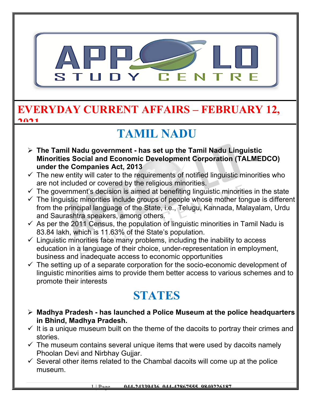

#### **EVERYDAY CURRENT AFFAIRS – FEBRUARY 12, 2021**

## **TAMIL NADU**

- **The Tamil Nadu government has set up the Tamil Nadu Linguistic Minorities Social and Economic Development Corporation (TALMEDCO) under the Companies Act, 2013**
- $\checkmark$  The new entity will cater to the requirements of notified linguistic minorities who are not included or covered by the religious minorities.
- $\checkmark$  The government's decision is aimed at benefiting linguistic minorities in the state
- $\checkmark$  The linguistic minorities include groups of people whose mother tongue is different from the principal language of the State, i.e., Telugu, Kannada, Malayalam, Urdu and Saurashtra speakers, among others.
- $\checkmark$  As per the 2011 Census, the population of linguistic minorities in Tamil Nadu is 83.84 lakh, which is 11.63% of the State's population.
- $\checkmark$  Linguistic minorities face many problems, including the inability to access education in a language of their choice, under-representation in employment, business and inadequate access to economic opportunities
- $\checkmark$  The setting up of a separate corporation for the socio-economic development of linguistic minorities aims to provide them better access to various schemes and to promote their interests

### **STATES**

- **Madhya Pradesh has launched a Police Museum at the police headquarters in Bhind, Madhya Pradesh.**
- $\checkmark$  It is a unique museum built on the theme of the dacoits to portray their crimes and stories.
- $\checkmark$  The museum contains several unique items that were used by dacoits namely Phoolan Devi and Nirbhay Gujjar.
- $\checkmark$  Several other items related to the Chambal dacoits will come up at the police museum.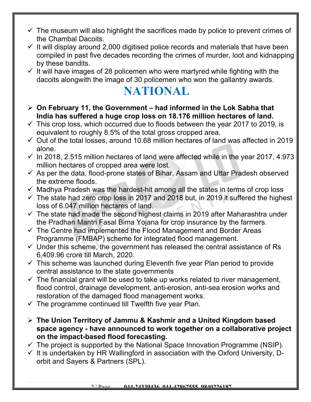- $\checkmark$  The museum will also highlight the sacrifices made by police to prevent crimes of the Chambal Dacoits.
- $\checkmark$  It will display around 2,000 digitised police records and materials that have been compiled in past five decades recording the crimes of murder, loot and kidnapping by these bandits.
- $\checkmark$  It will have images of 28 policemen who were martyred while fighting with the dacoits alongwith the image of 30 policemen who won the gallantry awards.

### **NATIONAL**

- **On February 11, the Government had informed in the Lok Sabha that India has suffered a huge crop loss on 18.176 million hectares of land.**
- $\checkmark$  This crop loss, which occurred due to floods between the year 2017 to 2019, is equivalent to roughly 8.5% of the total gross cropped area.
- $\checkmark$  Out of the total losses, around 10.68 million hectares of land was affected in 2019 alone.
- $\checkmark$  In 2018, 2.515 million hectares of land were affected while in the year 2017, 4.973 million hectares of cropped area were lost.
- $\checkmark$  As per the data, flood-prone states of Bihar, Assam and Uttar Pradesh observed the extreme floods.
- $\checkmark$  Madhya Pradesh was the hardest-hit among all the states in terms of crop loss
- $\checkmark$  The state had zero crop loss in 2017 and 2018 but, in 2019 it suffered the highest loss of 6.047 million hectares of land.
- $\checkmark$  The state had made the second highest claims in 2019 after Maharashtra under the Pradhan Mantri Fasal Bima Yojana for crop insurance by the farmers.
- $\checkmark$  The Centre had implemented the Flood Management and Border Areas Programme (FMBAP) scheme for integrated flood management.
- $\checkmark$  Under this scheme, the government has released the central assistance of Rs 6,409.96 crore till March, 2020.
- $\checkmark$  This scheme was launched during Eleventh five year Plan period to provide central assistance to the state governments
- $\checkmark$  The financial grant will be used to take up works related to river management, flood control, drainage development, anti-erosion, anti-sea erosion works and restoration of the damaged flood management works.
- $\checkmark$  The programme continued till Twelfth five year Plan.
- **The Union Territory of Jammu & Kashmir and a United Kingdom based space agency - have announced to work together on a collaborative project on the impact-based flood forecasting.**
- $\checkmark$  The project is supported by the National Space Innovation Programme (NSIP).
- $\checkmark$  It is undertaken by HR Wallingford in association with the Oxford University, Dorbit and Sayers & Partners (SPL).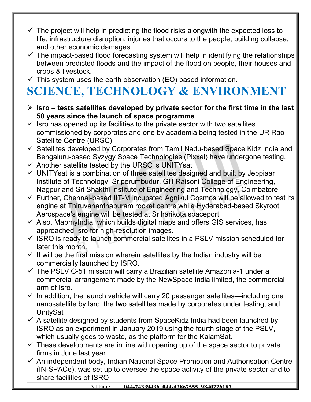- $\checkmark$  The project will help in predicting the flood risks alongwith the expected loss to life, infrastructure disruption, injuries that occurs to the people, building collapse, and other economic damages.
- $\checkmark$  The impact-based flood forecasting system will help in identifying the relationships between predicted floods and the impact of the flood on people, their houses and crops & livestock.
- $\checkmark$  This system uses the earth observation (EO) based information.

# **SCIENCE, TECHNOLOGY & ENVIRONMENT**

- **Isro tests satellites developed by private sector for the first time in the last 50 years since the launch of space programme**
- $\checkmark$  Isro has opened up its facilities to the private sector with two satellites commissioned by corporates and one by academia being tested in the UR Rao Satellite Centre (URSC)
- $\checkmark$  Satellites developed by Corporates from Tamil Nadu-based Space Kidz India and Bengaluru-based Syzygy Space Technologies (Pixxel) have undergone testing.
- $\checkmark$  Another satellite tested by the URSC is UNITYsat
- $\checkmark$  UNITYsat is a combination of three satellites designed and built by Jeppiaar Institute of Technology, Sriperumbudur, GH Raisoni College of Engineering, Nagpur and Sri Shakthi Institute of Engineering and Technology, Coimbatore.
- $\checkmark$  Further, Chennai-based IIT-M incubated Agnikul Cosmos will be allowed to test its engine at Thiruvananthapuram rocket centre while Hyderabad-based Skyroot Aerospace's engine will be tested at Sriharikota spaceport
- $\checkmark$  Also, MapmyIndia, which builds digital maps and offers GIS services, has approached Isro for high-resolution images.
- $\checkmark$  ISRO is ready to launch commercial satellites in a PSLV mission scheduled for later this month.
- $\checkmark$  It will be the first mission wherein satellites by the Indian industry will be commercially launched by ISRO.
- $\checkmark$  The PSLV C-51 mission will carry a Brazilian satellite Amazonia-1 under a commercial arrangement made by the NewSpace India limited, the commercial arm of Isro.
- $\checkmark$  In addition, the launch vehicle will carry 20 passenger satellites—including one nanosatellite by Isro, the two satellites made by corporates under testing, and UnitySat
- $\checkmark$  A satellite designed by students from SpaceKidz India had been launched by ISRO as an experiment in January 2019 using the fourth stage of the PSLV, which usually goes to waste, as the platform for the KalamSat.
- $\checkmark$  These developments are in line with opening up of the space sector to private firms in June last year
- $\checkmark$  An independent body, Indian National Space Promotion and Authorisation Centre (IN-SPACe), was set up to oversee the space activity of the private sector and to share facilities of ISRO